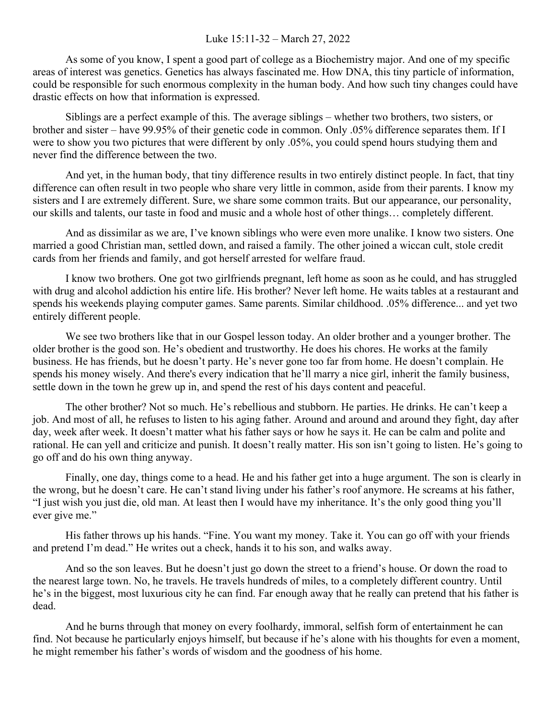## Luke 15:11-32 – March 27, 2022

As some of you know, I spent a good part of college as a Biochemistry major. And one of my specific areas of interest was genetics. Genetics has always fascinated me. How DNA, this tiny particle of information, could be responsible for such enormous complexity in the human body. And how such tiny changes could have drastic effects on how that information is expressed.

Siblings are a perfect example of this. The average siblings – whether two brothers, two sisters, or brother and sister – have 99.95% of their genetic code in common. Only .05% difference separates them. If I were to show you two pictures that were different by only .05%, you could spend hours studying them and never find the difference between the two.

And yet, in the human body, that tiny difference results in two entirely distinct people. In fact, that tiny difference can often result in two people who share very little in common, aside from their parents. I know my sisters and I are extremely different. Sure, we share some common traits. But our appearance, our personality, our skills and talents, our taste in food and music and a whole host of other things… completely different.

And as dissimilar as we are, I've known siblings who were even more unalike. I know two sisters. One married a good Christian man, settled down, and raised a family. The other joined a wiccan cult, stole credit cards from her friends and family, and got herself arrested for welfare fraud.

I know two brothers. One got two girlfriends pregnant, left home as soon as he could, and has struggled with drug and alcohol addiction his entire life. His brother? Never left home. He waits tables at a restaurant and spends his weekends playing computer games. Same parents. Similar childhood. .05% difference... and yet two entirely different people.

We see two brothers like that in our Gospel lesson today. An older brother and a younger brother. The older brother is the good son. He's obedient and trustworthy. He does his chores. He works at the family business. He has friends, but he doesn't party. He's never gone too far from home. He doesn't complain. He spends his money wisely. And there's every indication that he'll marry a nice girl, inherit the family business, settle down in the town he grew up in, and spend the rest of his days content and peaceful.

The other brother? Not so much. He's rebellious and stubborn. He parties. He drinks. He can't keep a job. And most of all, he refuses to listen to his aging father. Around and around and around they fight, day after day, week after week. It doesn't matter what his father says or how he says it. He can be calm and polite and rational. He can yell and criticize and punish. It doesn't really matter. His son isn't going to listen. He's going to go off and do his own thing anyway.

Finally, one day, things come to a head. He and his father get into a huge argument. The son is clearly in the wrong, but he doesn't care. He can't stand living under his father's roof anymore. He screams at his father, "I just wish you just die, old man. At least then I would have my inheritance. It's the only good thing you'll ever give me."

His father throws up his hands. "Fine. You want my money. Take it. You can go off with your friends and pretend I'm dead." He writes out a check, hands it to his son, and walks away.

And so the son leaves. But he doesn't just go down the street to a friend's house. Or down the road to the nearest large town. No, he travels. He travels hundreds of miles, to a completely different country. Until he's in the biggest, most luxurious city he can find. Far enough away that he really can pretend that his father is dead.

And he burns through that money on every foolhardy, immoral, selfish form of entertainment he can find. Not because he particularly enjoys himself, but because if he's alone with his thoughts for even a moment, he might remember his father's words of wisdom and the goodness of his home.